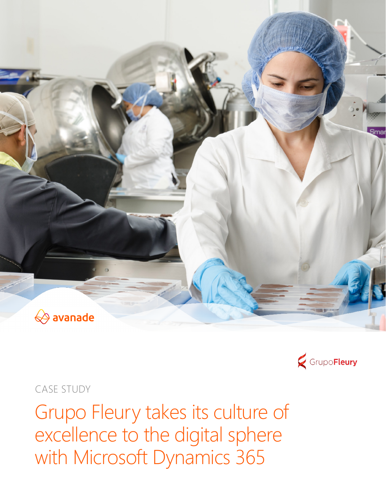



CASE STUDY

Grupo Fleury takes its culture of excellence to the digital sphere with Microsoft Dynamics 365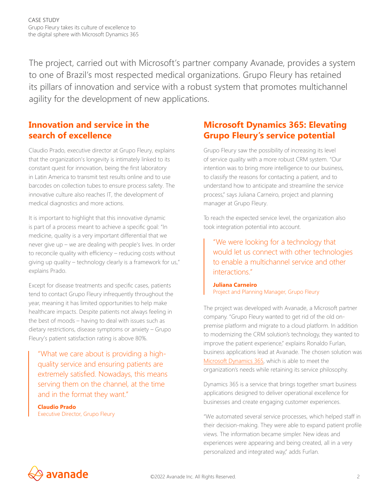The project, carried out with Microsoft's partner company Avanade, provides a system to one of Brazil's most respected medical organizations. Grupo Fleury has retained its pillars of innovation and service with a robust system that promotes multichannel agility for the development of new applications.

### **Innovation and service in the search of excellence**

Claudio Prado, executive director at Grupo Fleury, explains that the organization's longevity is intimately linked to its constant quest for innovation, being the first laboratory in Latin America to transmit test results online and to use barcodes on collection tubes to ensure process safety. The innovative culture also reaches IT, the development of medical diagnostics and more actions.

It is important to highlight that this innovative dynamic is part of a process meant to achieve a specific goal: "In medicine, quality is a very important differential that we never give up – we are dealing with people's lives. In order to reconcile quality with efficiency – reducing costs without giving up quality – technology clearly is a framework for us," explains Prado.

Except for disease treatments and specific cases, patients tend to contact Grupo Fleury infrequently throughout the year, meaning it has limited opportunities to help make healthcare impacts. Despite patients not always feeling in the best of moods – having to deal with issues such as dietary restrictions, disease symptoms or anxiety – Grupo Fleury's patient satisfaction rating is above 80%.

"What we care about is providing a highquality service and ensuring patients are extremely satisfied. Nowadays, this means serving them on the channel, at the time and in the format they want."

**Claudio Prado** Executive Director, Grupo Fleury

### **Microsoft Dynamics 365: Elevating Grupo Fleury's service potential**

Grupo Fleury saw the possibility of increasing its level of service quality with a more robust CRM system. "Our intention was to bring more intelligence to our business, to classify the reasons for contacting a patient, and to understand how to anticipate and streamline the service process," says Juliana Carneiro, project and planning manager at Grupo Fleury.

To reach the expected service level, the organization also took integration potential into account.

"We were looking for a technology that would let us connect with other technologies to enable a multichannel service and other interactions."

**Juliana Carneiro** Project and Planning Manager, Grupo Fleury

The project was developed with Avanade, a Microsoft partner company. "Grupo Fleury wanted to get rid of the old onpremise platform and migrate to a cloud platform. In addition to modernizing the CRM solution's technology, they wanted to improve the patient experience," explains Ronaldo Furlan, business applications lead at Avanade. The chosen solution was [Microsoft Dynamics 365](https://www.avanade.com/en/technologies/microsoft-dynamics-365), which is able to meet the organization's needs while retaining its service philosophy.

Dynamics 365 is a service that brings together smart business applications designed to deliver operational excellence for businesses and create engaging customer experiences.

"We automated several service processes, which helped staff in their decision-making. They were able to expand patient profile views. The information became simpler. New ideas and experiences were appearing and being created, all in a very personalized and integrated way," adds Furlan.

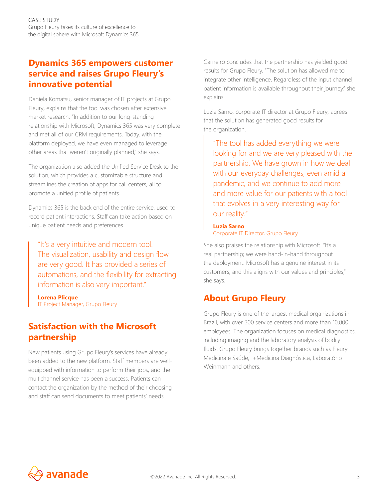## **Dynamics 365 empowers customer service and raises Grupo Fleury's innovative potential**

Daniela Komatsu, senior manager of IT projects at Grupo Fleury, explains that the tool was chosen after extensive market research. "In addition to our long-standing relationship with Microsoft, Dynamics 365 was very complete and met all of our CRM requirements. Today, with the platform deployed, we have even managed to leverage other areas that weren't originally planned," she says.

The organization also added the Unified Service Desk to the solution, which provides a customizable structure and streamlines the creation of apps for call centers, all to promote a unified profile of patients.

Dynamics 365 is the back end of the entire service, used to record patient interactions. Staff can take action based on unique patient needs and preferences.

"It's a very intuitive and modern tool. The visualization, usability and design flow are very good. It has provided a series of automations, and the flexibility for extracting information is also very important."

**Lorena Plicque** IT Project Manager, Grupo Fleury

## **Satisfaction with the Microsoft partnership**

New patients using Grupo Fleury's services have already been added to the new platform. Staff members are wellequipped with information to perform their jobs, and the multichannel service has been a success. Patients can contact the organization by the method of their choosing and staff can send documents to meet patients' needs.

Carneiro concludes that the partnership has yielded good results for Grupo Fleury. "The solution has allowed me to integrate other intelligence. Regardless of the input channel, patient information is available throughout their journey," she explains.

Luzia Sarno, corporate IT director at Grupo Fleury, agrees that the solution has generated good results for the organization.

"The tool has added everything we were looking for and we are very pleased with the partnership. We have grown in how we deal with our everyday challenges, even amid a pandemic, and we continue to add more and more value for our patients with a tool that evolves in a very interesting way for our reality."

#### **Luzia Sarno** Corporate IT Director, Grupo Fleury

She also praises the relationship with Microsoft. "It's a real partnership; we were hand-in-hand throughout the deployment. Microsoft has a genuine interest in its customers, and this aligns with our values and principles," she says.

# **About Grupo Fleury**

Grupo Fleury is one of the largest medical organizations in Brazil, with over 200 service centers and more than 10,000 employees. The organization focuses on medical diagnostics, including imaging and the laboratory analysis of bodily fluids. Grupo Fleury brings together brands such as Fleury Medicina e Saúde, +Medicina Diagnóstica, Laboratório Weinmann and others.